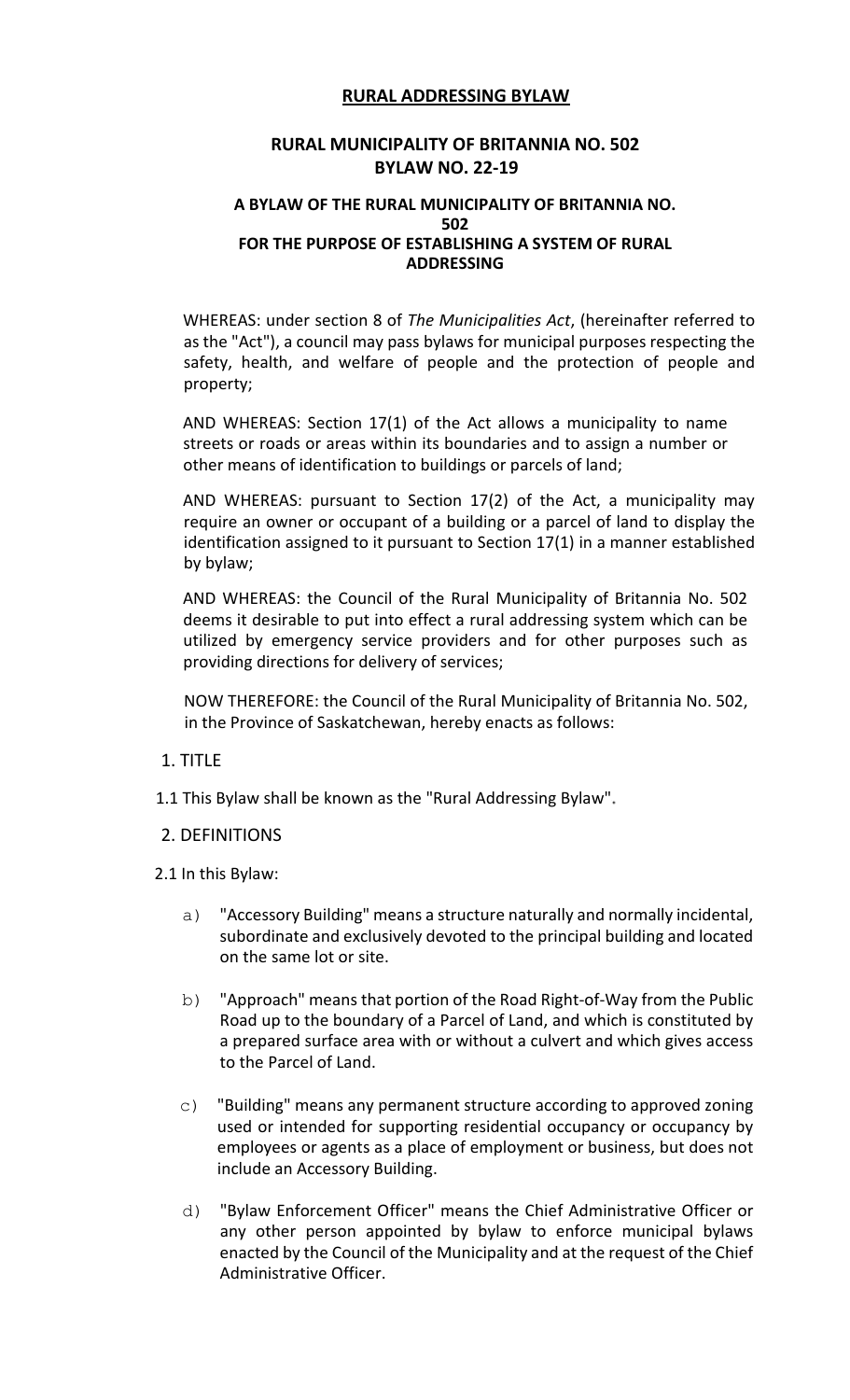# **RURAL ADDRESSING BYLAW**

### **RURAL MUNICIPALITY OF BRITANNIA NO. 502 BYLAW NO. 22-19**

#### **A BYLAW OF THE RURAL MUNICIPALITY OF BRITANNIA NO. 502 FOR THE PURPOSE OF ESTABLISHING A SYSTEM OF RURAL ADDRESSING**

WHEREAS: under section 8 of *The Municipalities Act*, (hereinafter referred to as the "Act"), a council may pass bylaws for municipal purposes respecting the safety, health, and welfare of people and the protection of people and property;

AND WHEREAS: Section 17(1) of the Act allows a municipality to name streets or roads or areas within its boundaries and to assign a number or other means of identification to buildings or parcels of land;

AND WHEREAS: pursuant to Section 17(2) of the Act, a municipality may require an owner or occupant of a building or a parcel of land to display the identification assigned to it pursuant to Section 17(1) in a manner established by bylaw;

AND WHEREAS: the Council of the Rural Municipality of Britannia No. 502 deems it desirable to put into effect a rural addressing system which can be utilized by emergency service providers and for other purposes such as providing directions for delivery of services;

NOW THEREFORE: the Council of the Rural Municipality of Britannia No. 502, in the Province of Saskatchewan, hereby enacts as follows:

- 1. TITLE
- 1.1 This Bylaw shall be known as the "Rural Addressing Bylaw"

#### 2. DEFINITIONS

2.1 In this Bylaw:

- a) "Accessory Building" means a structure naturally and normally incidental, subordinate and exclusively devoted to the principal building and located on the same lot or site.
- b) "Approach" means that portion of the Road Right-of-Way from the Public Road up to the boundary of a Parcel of Land, and which is constituted by a prepared surface area with or without a culvert and which gives access to the Parcel of Land.
- c) "Building" means any permanent structure according to approved zoning used or intended for supporting residential occupancy or occupancy by employees or agents as a place of employment or business, but does not include an Accessory Building.
- d) "Bylaw Enforcement Officer" means the Chief Administrative Officer or any other person appointed by bylaw to enforce municipal bylaws enacted by the Council of the Municipality and at the request of the Chief Administrative Officer.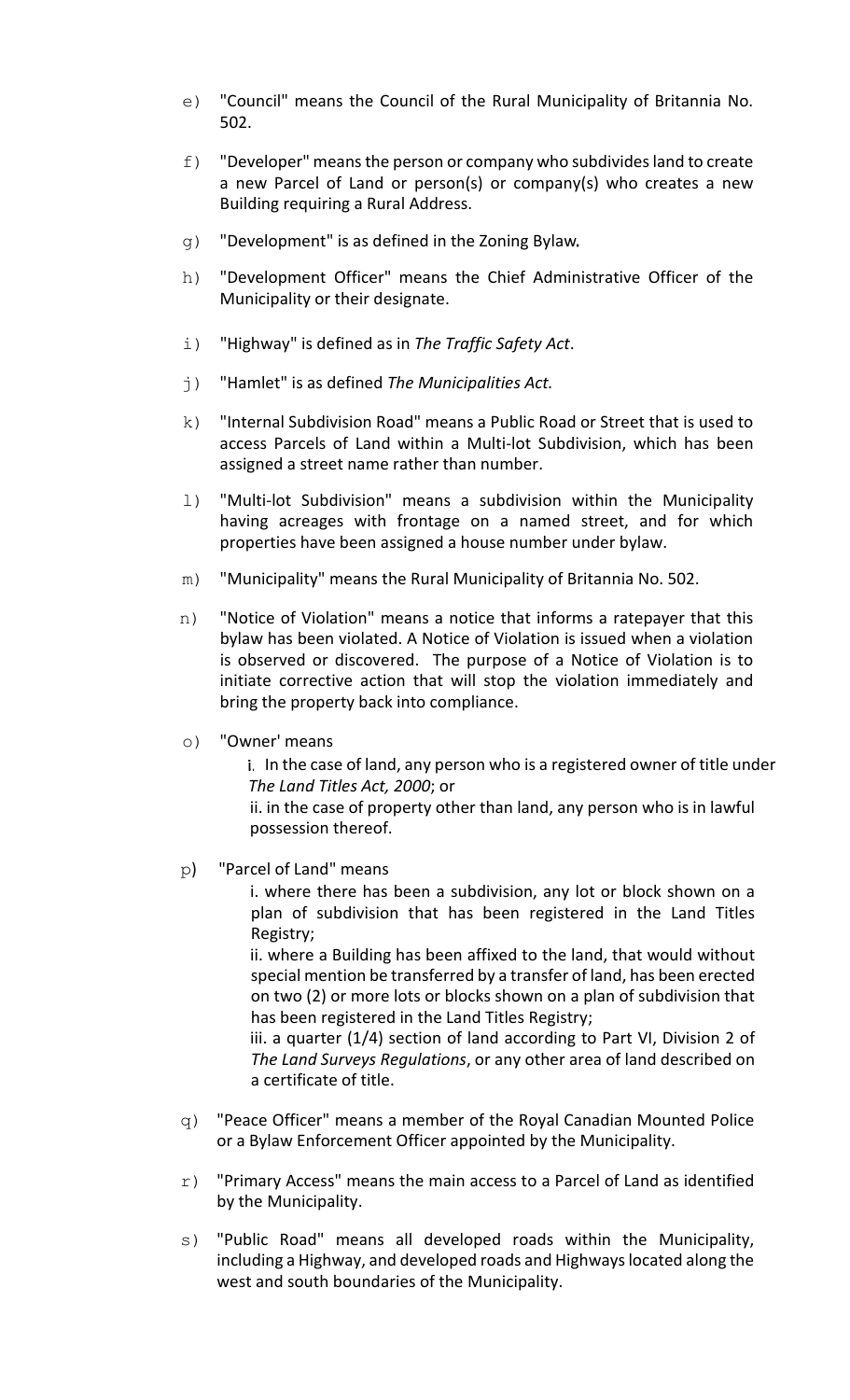- e) "Council" means the Council of the Rural Municipality of Britannia No. 502.
- f) "Developer" means the person or company who subdivides land to create a new Parcel of Land or person(s) or company(s) who creates a new Building requiring a Rural Address.
- g) "Development" is as defined in the Zoning Bylaw
- h) "Development Officer" means the Chief Administrative Officer of the Municipality or their designate.
- i) "Highway" is defined as in *The Traffic Safety Act*.
- j) "Hamlet" is as defined *The Municipalities Act.*
- k) "Internal Subdivision Road" means a Public Road or Street that is used to access Parcels of Land within a Multi-lot Subdivision, which has been assigned a street name rather than number.
- l) "Multi-lot Subdivision" means a subdivision within the Municipality having acreages with frontage on a named street, and for which properties have been assigned a house number under bylaw.
- m) "Municipality" means the Rural Municipality of Britannia No. 502.
- n) "Notice of Violation" means a notice that informs a ratepayer that this bylaw has been violated. A Notice of Violation is issued when a violation is observed or discovered. The purpose of a Notice of Violation is to initiate corrective action that will stop the violation immediately and bring the property back into compliance.
- o) "Owner' means

i. In the case of land, any person who is a registered owner of title under *The Land Titles Act, 2000*; or

ii. in the case of property other than land, any person who is in lawful possession thereof.

p) "Parcel of Land" means

i. where there has been a subdivision, any lot or block shown on a plan of subdivision that has been registered in the Land Titles Registry;

ii. where a Building has been affixed to the land, that would without special mention be transferred by a transfer of land, has been erected on two (2) or more lots or blocks shown on a plan of subdivision that has been registered in the Land Titles Registry;

iii. a quarter (1/4) section of land according to Part VI, Division 2 of *The Land Surveys Regulations*, or any other area of land described on a certificate of title.

- q) "Peace Officer" means a member of the Royal Canadian Mounted Police or a Bylaw Enforcement Officer appointed by the Municipality.
- $r$ ) "Primary Access" means the main access to a Parcel of Land as identified by the Municipality.
- s) "Public Road" means all developed roads within the Municipality, including a Highway, and developed roads and Highways located along the west and south boundaries of the Municipality.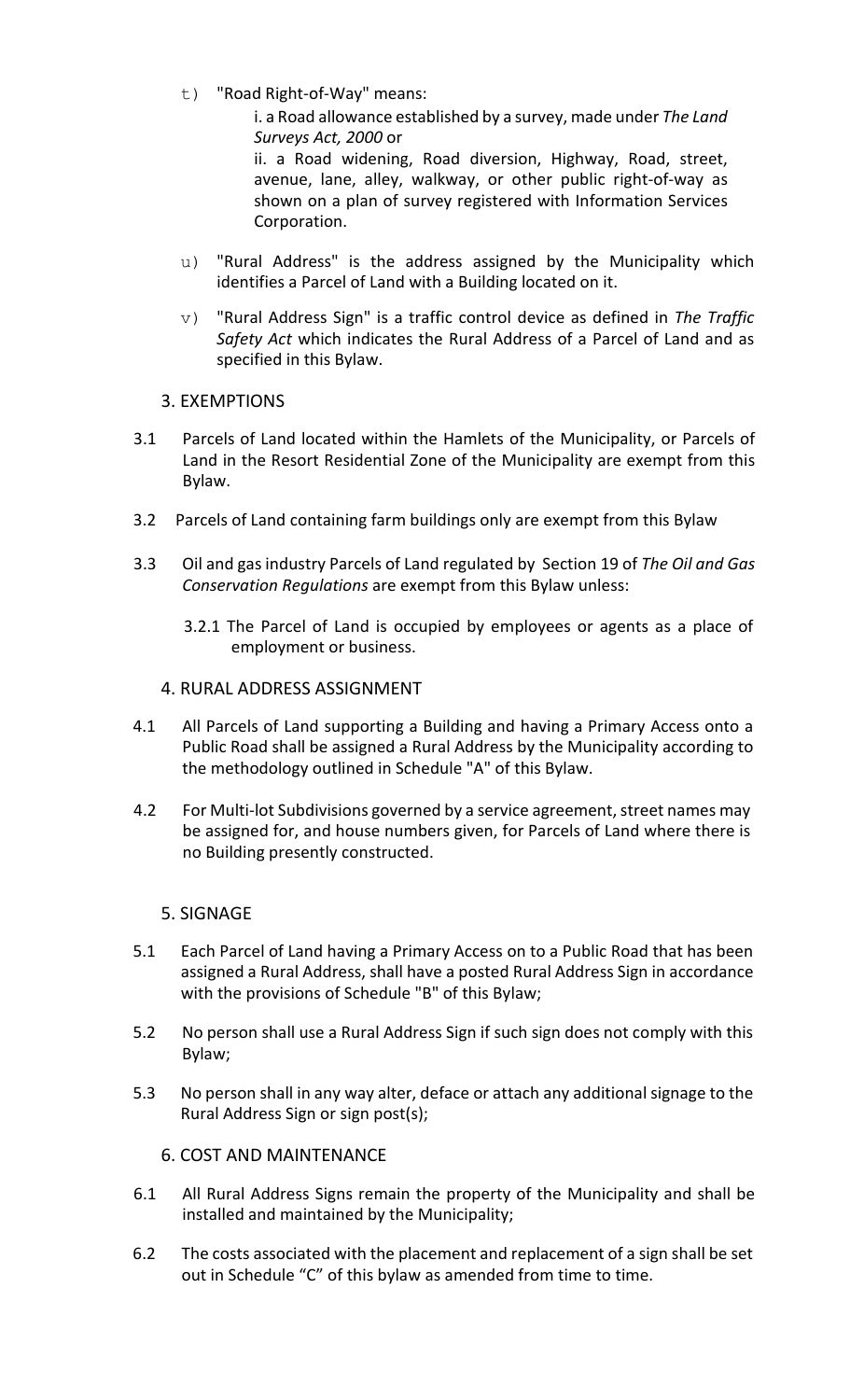t) "Road Right-of-Way" means:

i. a Road allowance established by a survey, made under *The Land Surveys Act, 2000* or

ii. a Road widening, Road diversion, Highway, Road, street, avenue, lane, alley, walkway, or other public right-of-way as shown on a plan of survey registered with Information Services Corporation.

- u) "Rural Address" is the address assigned by the Municipality which identifies a Parcel of Land with a Building located on it.
- v) "Rural Address Sign" is a traffic control device as defined in *The Traffic Safety Act* which indicates the Rural Address of a Parcel of Land and as specified in this Bylaw.
- 3. EXEMPTIONS
- 3.1 Parcels of Land located within the Hamlets of the Municipality, or Parcels of Land in the Resort Residential Zone of the Municipality are exempt from this Bylaw.
- 3.2 Parcels of Land containing farm buildings only are exempt from this Bylaw
- 3.3 Oil and gas industry Parcels of Land regulated by Section 19 of *The Oil and Gas Conservation Regulations* are exempt from this Bylaw unless:
	- 3.2.1 The Parcel of Land is occupied by employees or agents as a place of employment or business.
	- 4. RURAL ADDRESS ASSIGNMENT
- 4.1 All Parcels of Land supporting a Building and having a Primary Access onto a Public Road shall be assigned a Rural Address by the Municipality according to the methodology outlined in Schedule "A" of this Bylaw.
- 4.2 For Multi-lot Subdivisions governed by a service agreement, street names may be assigned for, and house numbers given, for Parcels of Land where there is no Building presently constructed.

#### 5. SIGNAGE

- 5.1 Each Parcel of Land having a Primary Access on to a Public Road that has been assigned a Rural Address, shall have a posted Rural Address Sign in accordance with the provisions of Schedule "B" of this Bylaw;
- 5.2 No person shall use a Rural Address Sign if such sign does not comply with this Bylaw;
- 5.3 No person shall in any way alter, deface or attach any additional signage to the Rural Address Sign or sign post(s);

#### 6. COST AND MAINTENANCE

- 6.1 All Rural Address Signs remain the property of the Municipality and shall be installed and maintained by the Municipality;
- 6.2 The costs associated with the placement and replacement of a sign shall be set out in Schedule "C" of this bylaw as amended from time to time.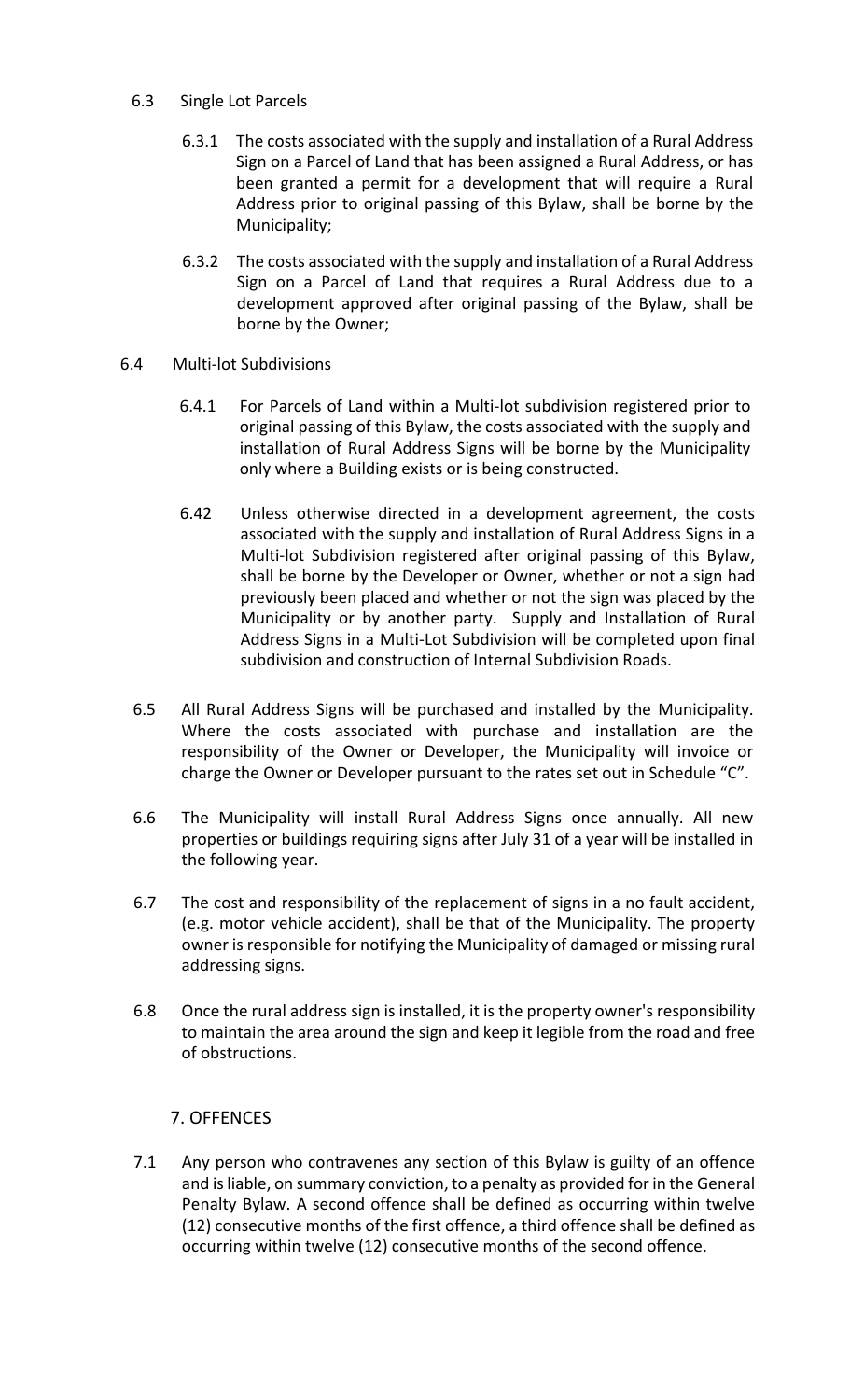#### 6.3 Single Lot Parcels

- 6.3.1 The costs associated with the supply and installation of a Rural Address Sign on a Parcel of Land that has been assigned a Rural Address, or has been granted a permit for a development that will require a Rural Address prior to original passing of this Bylaw, shall be borne by the Municipality;
- 6.3.2 The costs associated with the supply and installation of a Rural Address Sign on a Parcel of Land that requires a Rural Address due to a development approved after original passing of the Bylaw, shall be borne by the Owner;
- 6.4 Multi-lot Subdivisions
	- 6.4.1 For Parcels of Land within a Multi-lot subdivision registered prior to original passing of this Bylaw, the costs associated with the supply and installation of Rural Address Signs will be borne by the Municipality only where a Building exists or is being constructed.
	- 6.42 Unless otherwise directed in a development agreement, the costs associated with the supply and installation of Rural Address Signs in a Multi-lot Subdivision registered after original passing of this Bylaw, shall be borne by the Developer or Owner, whether or not a sign had previously been placed and whether or not the sign was placed by the Municipality or by another party. Supply and Installation of Rural Address Signs in a Multi-Lot Subdivision will be completed upon final subdivision and construction of Internal Subdivision Roads.
	- 6.5 All Rural Address Signs will be purchased and installed by the Municipality. Where the costs associated with purchase and installation are the responsibility of the Owner or Developer, the Municipality will invoice or charge the Owner or Developer pursuant to the rates set out in Schedule "C".
	- 6.6 The Municipality will install Rural Address Signs once annually. All new properties or buildings requiring signs after July 31 of a year will be installed in the following year.
	- 6.7 The cost and responsibility of the replacement of signs in a no fault accident, (e.g. motor vehicle accident), shall be that of the Municipality. The property owner is responsible for notifying the Municipality of damaged or missing rural addressing signs.
	- 6.8 Once the rural address sign is installed, it is the property owner's responsibility to maintain the area around the sign and keep it legible from the road and free of obstructions.

# 7. OFFENCES

7.1 Any person who contravenes any section of this Bylaw is guilty of an offence and is liable, on summary conviction, to a penalty as provided for in the General Penalty Bylaw. A second offence shall be defined as occurring within twelve (12) consecutive months of the first offence, a third offence shall be defined as occurring within twelve (12) consecutive months of the second offence.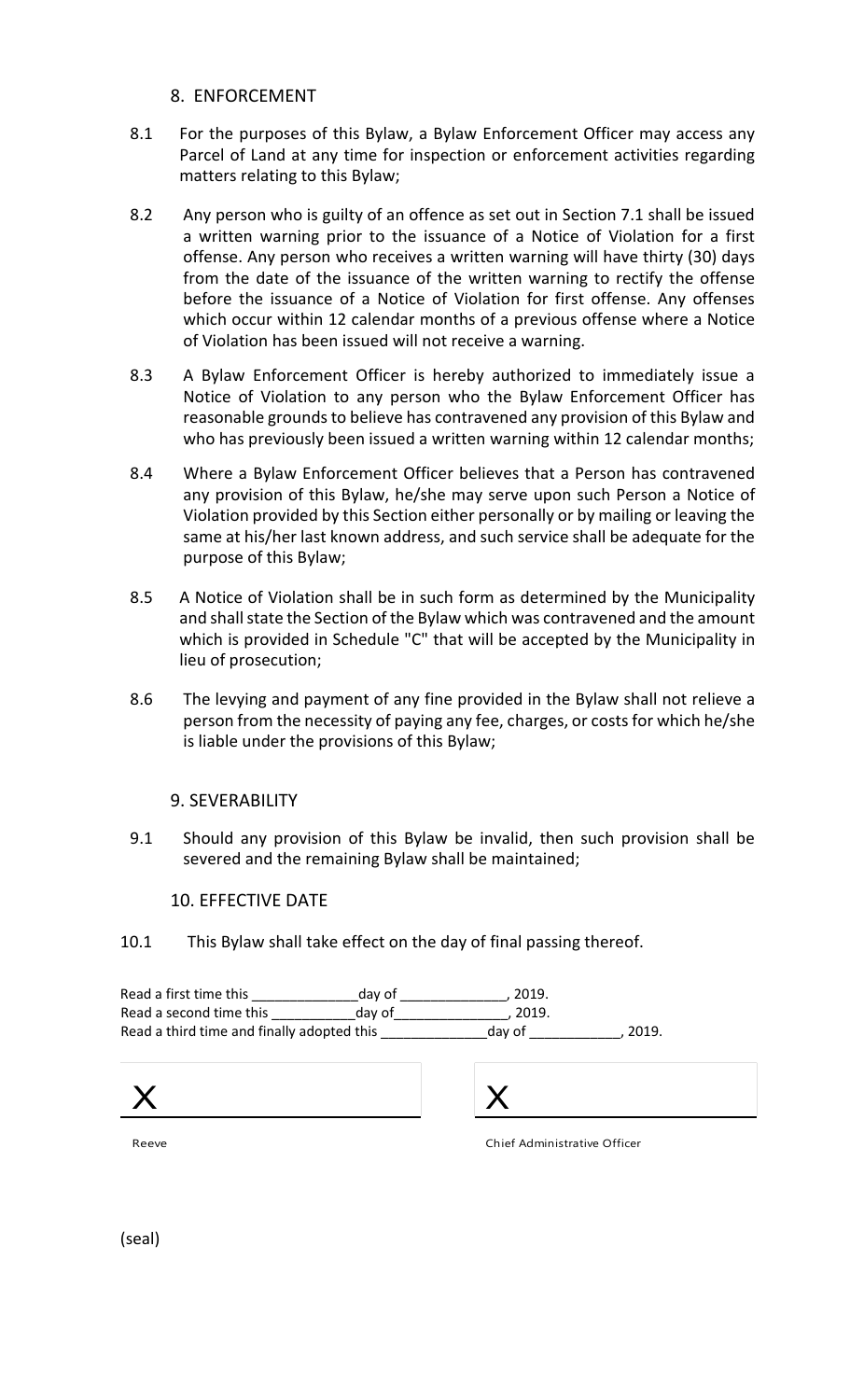- 8. ENFORCEMENT
- 8.1 For the purposes of this Bylaw, a Bylaw Enforcement Officer may access any Parcel of Land at any time for inspection or enforcement activities regarding matters relating to this Bylaw;
- 8.2 Any person who is guilty of an offence as set out in Section 7.1 shall be issued a written warning prior to the issuance of a Notice of Violation for a first offense. Any person who receives a written warning will have thirty (30) days from the date of the issuance of the written warning to rectify the offense before the issuance of a Notice of Violation for first offense. Any offenses which occur within 12 calendar months of a previous offense where a Notice of Violation has been issued will not receive a warning.
- 8.3 A Bylaw Enforcement Officer is hereby authorized to immediately issue a Notice of Violation to any person who the Bylaw Enforcement Officer has reasonable grounds to believe has contravened any provision of this Bylaw and who has previously been issued a written warning within 12 calendar months;
- 8.4 Where a Bylaw Enforcement Officer believes that a Person has contravened any provision of this Bylaw, he/she may serve upon such Person a Notice of Violation provided by this Section either personally or by mailing or leaving the same at his/her last known address, and such service shall be adequate for the purpose of this Bylaw;
- 8.5 A Notice of Violation shall be in such form as determined by the Municipality and shall state the Section of the Bylaw which was contravened and the amount which is provided in Schedule "C" that will be accepted by the Municipality in lieu of prosecution;
- 8.6 The levying and payment of any fine provided in the Bylaw shall not relieve a person from the necessity of paying any fee, charges, or costs for which he/she is liable under the provisions of this Bylaw;

#### 9. SEVERABILITY

9.1 Should any provision of this Bylaw be invalid, then such provision shall be severed and the remaining Bylaw shall be maintained;

10. EFFECTIVE DATE

10.1 This Bylaw shall take effect on the day of final passing thereof.

Read a first time this \_\_\_\_\_\_\_\_\_\_\_\_\_\_day of \_\_\_\_\_\_\_\_\_\_\_\_\_\_, 2019. Read a second time this button and a vector day of Read a third time and finally adopted this example and the day of the set of 2019.





Reeve

Chief Administrative Officer

(seal)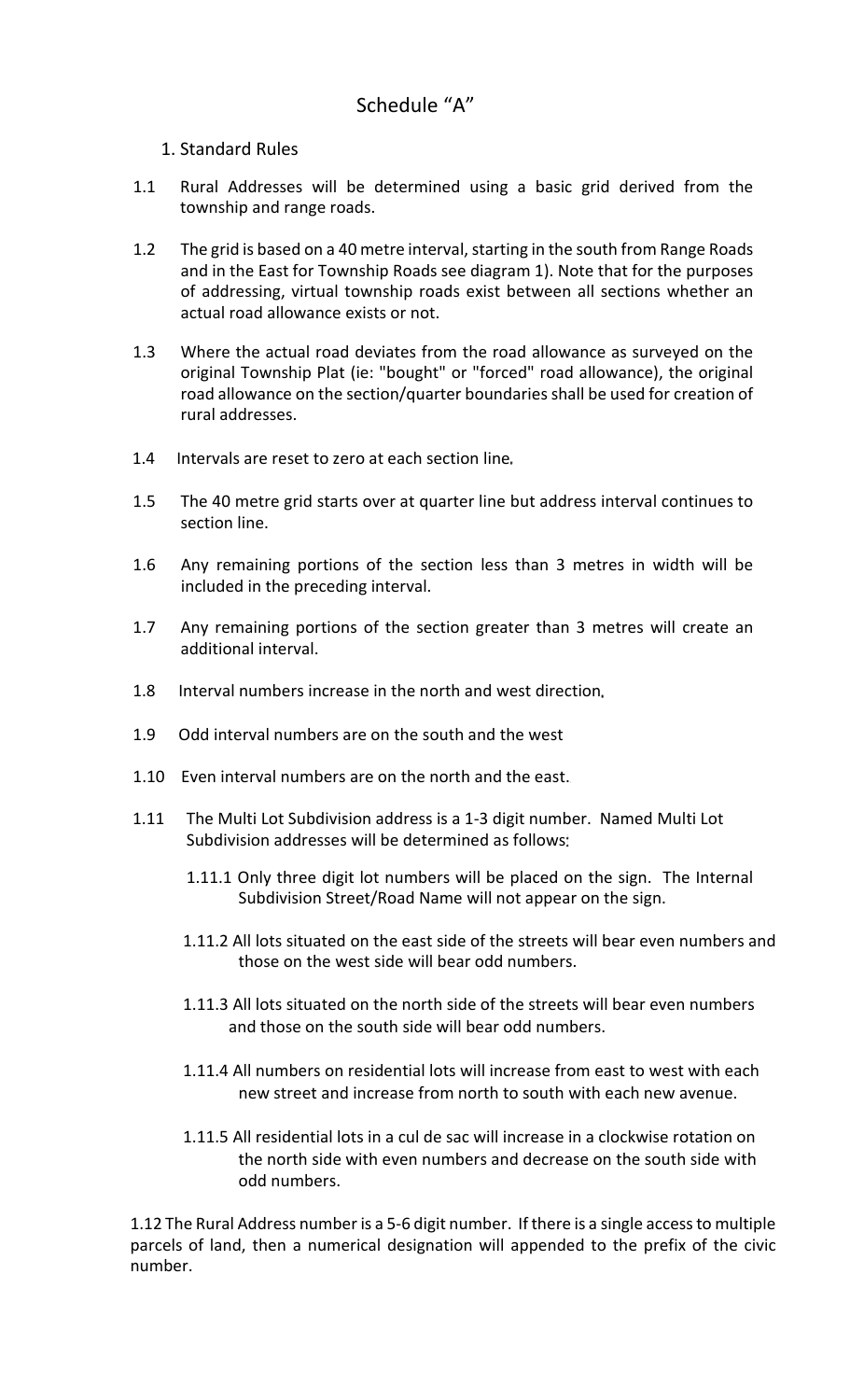# 1. Standard Rules

- 1.1 Rural Addresses will be determined using a basic grid derived from the township and range roads.
- 1.2 The grid is based on a 40 metre interval, starting in the south from Range Roads and in the East for Township Roads see diagram 1). Note that for the purposes of addressing, virtual township roads exist between all sections whether an actual road allowance exists or not.
- 1.3 Where the actual road deviates from the road allowance as surveyed on the original Township Plat (ie: "bought" or "forced" road allowance), the original road allowance on the section/quarter boundaries shall be used for creation of rural addresses.
- 1.4 Intervals are reset to zero at each section line
- 1.5 The 40 metre grid starts over at quarter line but address interval continues to section line.
- 1.6 Any remaining portions of the section less than 3 metres in width will be included in the preceding interval.
- 1.7 Any remaining portions of the section greater than 3 metres will create an additional interval.
- 1.8 Interval numbers increase in the north and west direction
- 1.9 Odd interval numbers are on the south and the west
- 1.10 Even interval numbers are on the north and the east.
- 1.11 The Multi Lot Subdivision address is a 1-3 digit number. Named Multi Lot Subdivision addresses will be determined as follows
	- 1.11.1 Only three digit lot numbers will be placed on the sign. The Internal Subdivision Street/Road Name will not appear on the sign.
	- 1.11.2 All lots situated on the east side of the streets will bear even numbers and those on the west side will bear odd numbers.
	- 1.11.3 All lots situated on the north side of the streets will bear even numbers and those on the south side will bear odd numbers.
	- 1.11.4 All numbers on residential lots will increase from east to west with each new street and increase from north to south with each new avenue.
	- 1.11.5 All residential lots in a cul de sac will increase in a clockwise rotation on the north side with even numbers and decrease on the south side with odd numbers.

1.12 The Rural Address number is a 5-6 digit number. If there is a single access to multiple parcels of land, then a numerical designation will appended to the prefix of the civic number.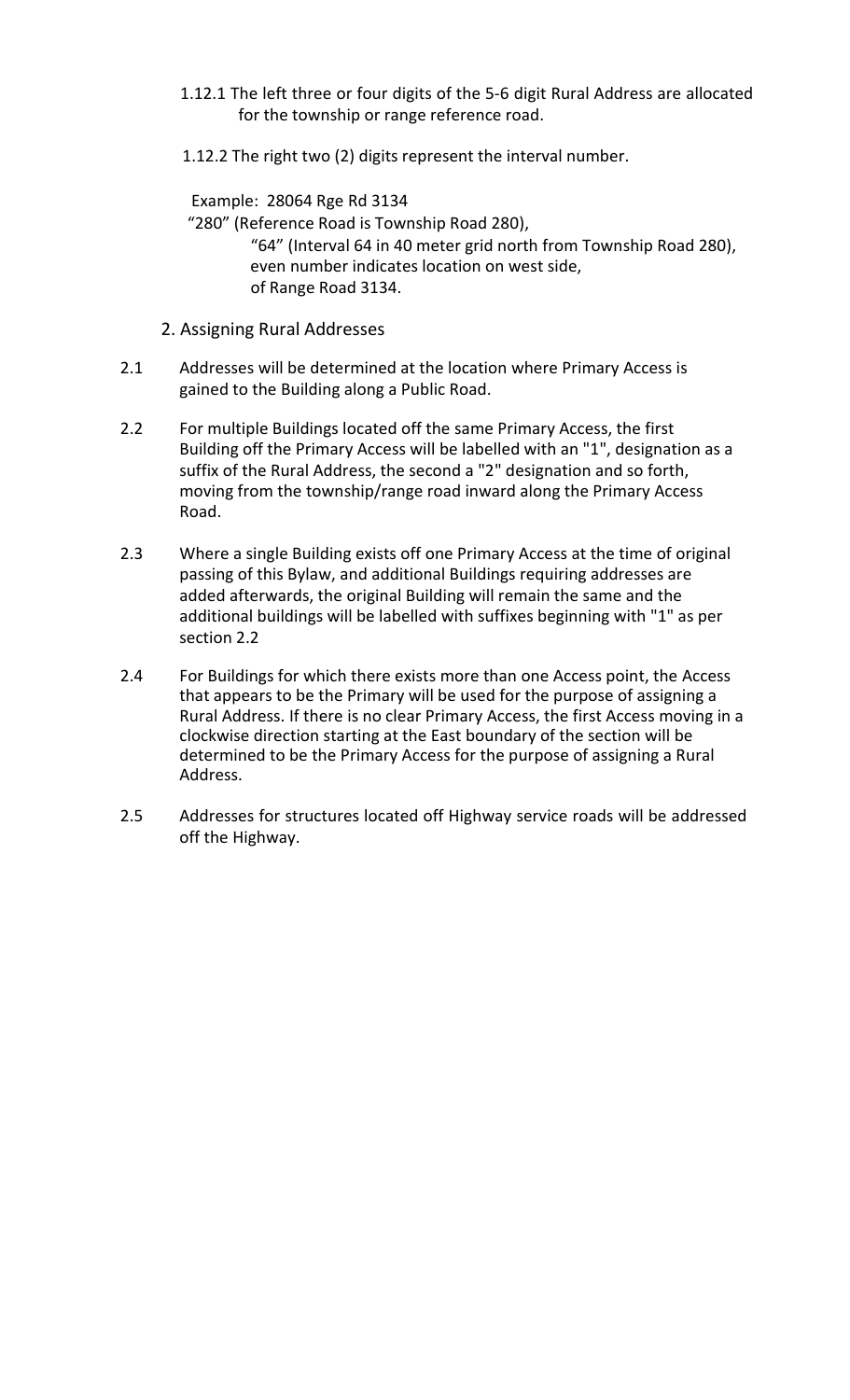- 1.12.1 The left three or four digits of the 5-6 digit Rural Address are allocated for the township or range reference road.
- 1.12.2 The right two (2) digits represent the interval number.

 Example: 28064 Rge Rd 3134 "280" (Reference Road is Township Road 280), "64" (Interval 64 in 40 meter grid north from Township Road 280), even number indicates location on west side, of Range Road 3134.

- 2. Assigning Rural Addresses
- 2.1 Addresses will be determined at the location where Primary Access is gained to the Building along a Public Road.
- 2.2 For multiple Buildings located off the same Primary Access, the first Building off the Primary Access will be labelled with an "1", designation as a suffix of the Rural Address, the second a "2" designation and so forth, moving from the township/range road inward along the Primary Access Road.
- 2.3 Where a single Building exists off one Primary Access at the time of original passing of this Bylaw, and additional Buildings requiring addresses are added afterwards, the original Building will remain the same and the additional buildings will be labelled with suffixes beginning with "1" as per section 2.2
- 2.4 For Buildings for which there exists more than one Access point, the Access that appears to be the Primary will be used for the purpose of assigning a Rural Address. If there is no clear Primary Access, the first Access moving in a clockwise direction starting at the East boundary of the section will be determined to be the Primary Access for the purpose of assigning a Rural Address.
- 2.5 Addresses for structures located off Highway service roads will be addressed off the Highway.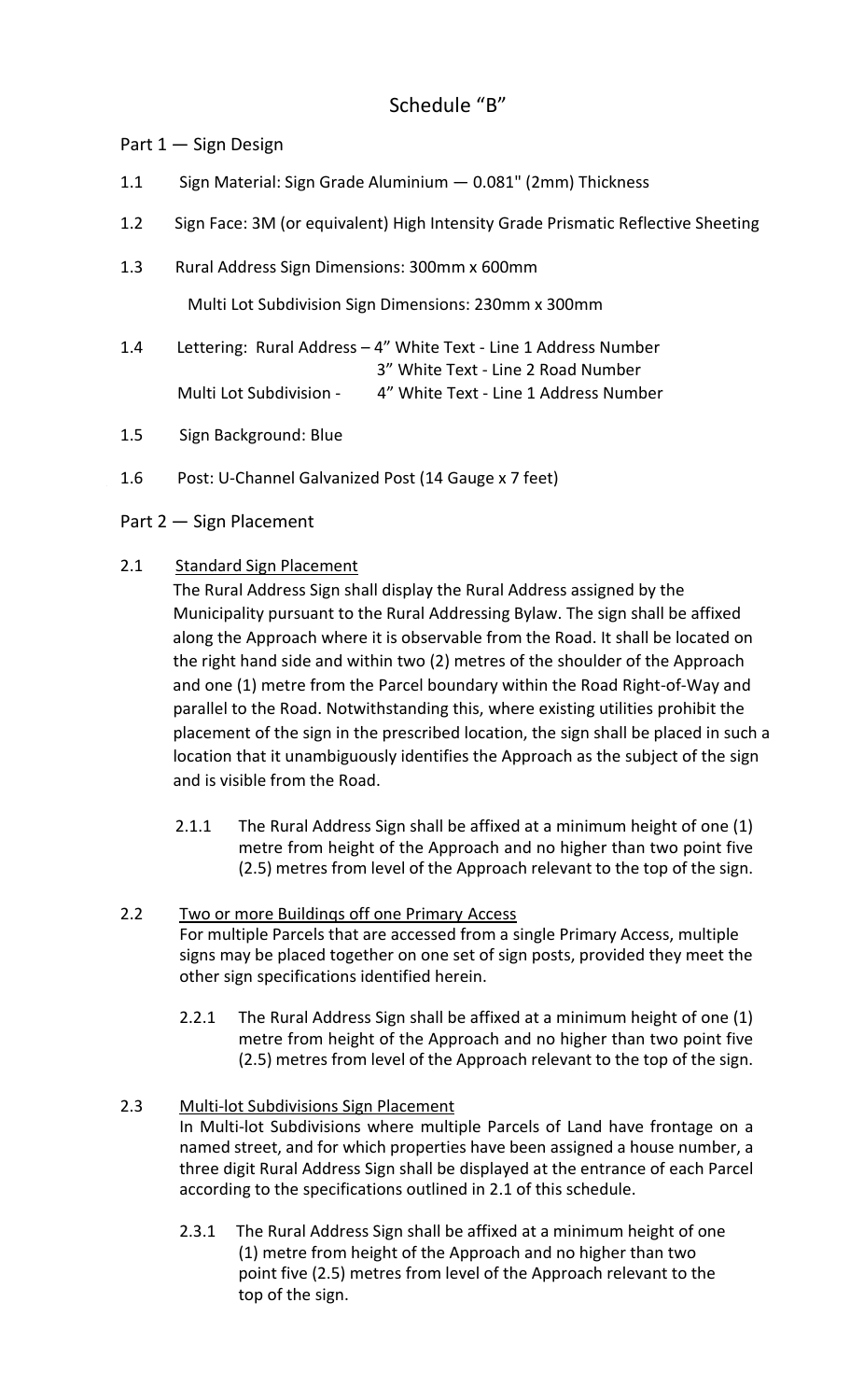# Schedule "B"

# Part 1 — Sign Design

- 1.1 Sign Material: Sign Grade Aluminium 0.081" (2mm) Thickness
- 1.2 Sign Face: 3M (or equivalent) High Intensity Grade Prismatic Reflective Sheeting
- 1.3 Rural Address Sign Dimensions: 300mm x 600mm

Multi Lot Subdivision Sign Dimensions: 230mm x 300mm

- 1.4 Lettering: Rural Address 4" White Text Line 1 Address Number 3" White Text - Line 2 Road Number Multi Lot Subdivision - 4" White Text - Line 1 Address Number
- 1.5 Sign Background: Blue
- 1.6 Post: U-Channel Galvanized Post (14 Gauge x 7 feet)

# Part 2 — Sign Placement

# 2.1 Standard Sign Placement

 The Rural Address Sign shall display the Rural Address assigned by the Municipality pursuant to the Rural Addressing Bylaw. The sign shall be affixed along the Approach where it is observable from the Road. It shall be located on the right hand side and within two (2) metres of the shoulder of the Approach and one (1) metre from the Parcel boundary within the Road Right-of-Way and parallel to the Road. Notwithstanding this, where existing utilities prohibit the placement of the sign in the prescribed location, the sign shall be placed in such a location that it unambiguously identifies the Approach as the subject of the sign and is visible from the Road.

- 2.1.1 The Rural Address Sign shall be affixed at a minimum height of one (1) metre from height of the Approach and no higher than two point five (2.5) metres from level of the Approach relevant to the top of the sign.
- 2.2 Two or more Buildinqs off one Primary Access For multiple Parcels that are accessed from a single Primary Access, multiple signs may be placed together on one set of sign posts, provided they meet the other sign specifications identified herein.
	- 2.2.1 The Rural Address Sign shall be affixed at a minimum height of one (1) metre from height of the Approach and no higher than two point five (2.5) metres from level of the Approach relevant to the top of the sign.
- 2.3 Multi-lot Subdivisions Sign Placement In Multi-lot Subdivisions where multiple Parcels of Land have frontage on a named street, and for which properties have been assigned a house number, a three digit Rural Address Sign shall be displayed at the entrance of each Parcel according to the specifications outlined in 2.1 of this schedule.
	- 2.3.1 The Rural Address Sign shall be affixed at a minimum height of one (1) metre from height of the Approach and no higher than two point five (2.5) metres from level of the Approach relevant to the top of the sign.